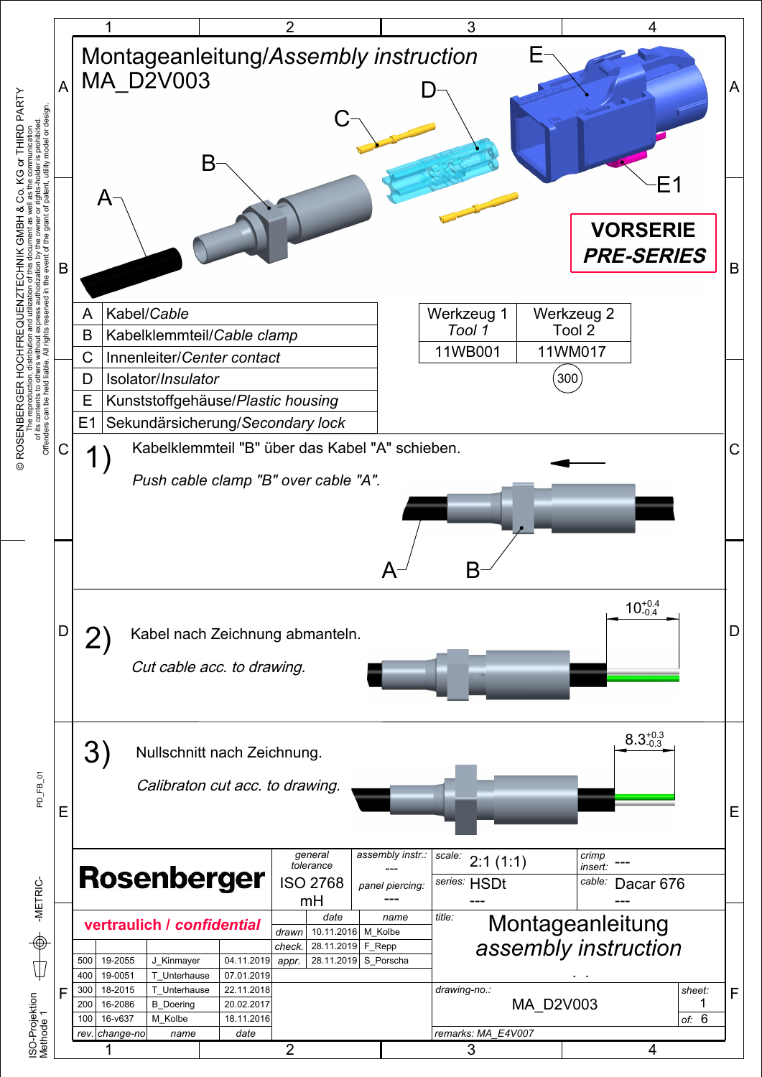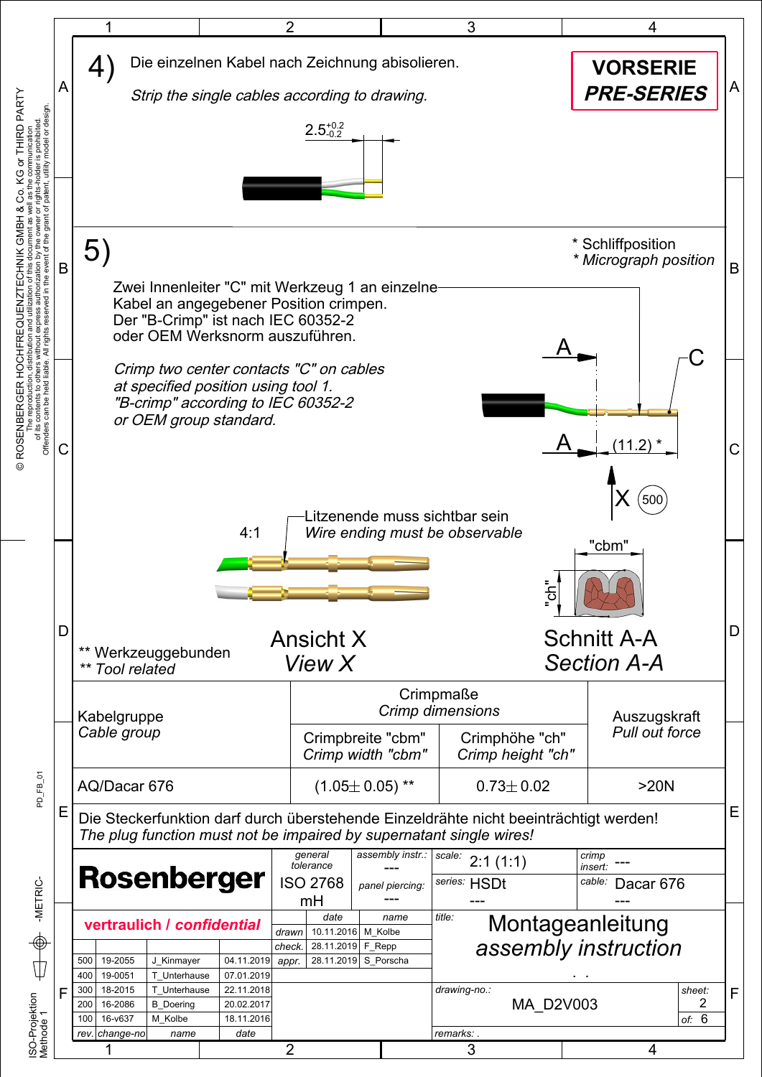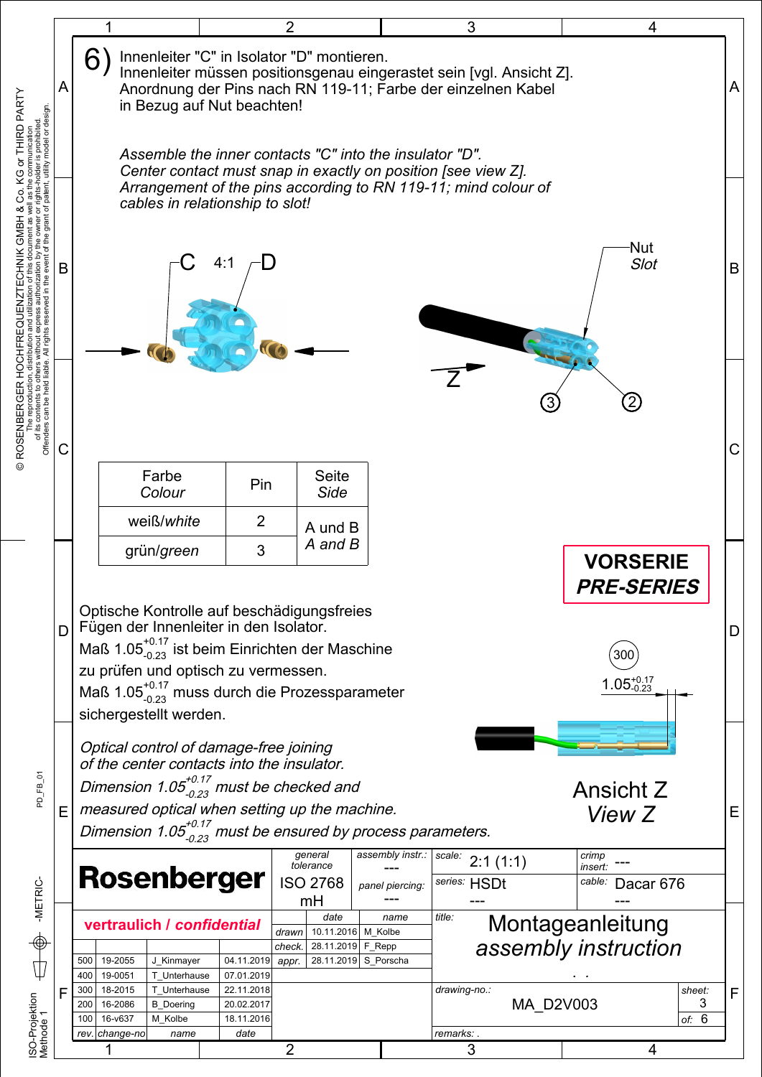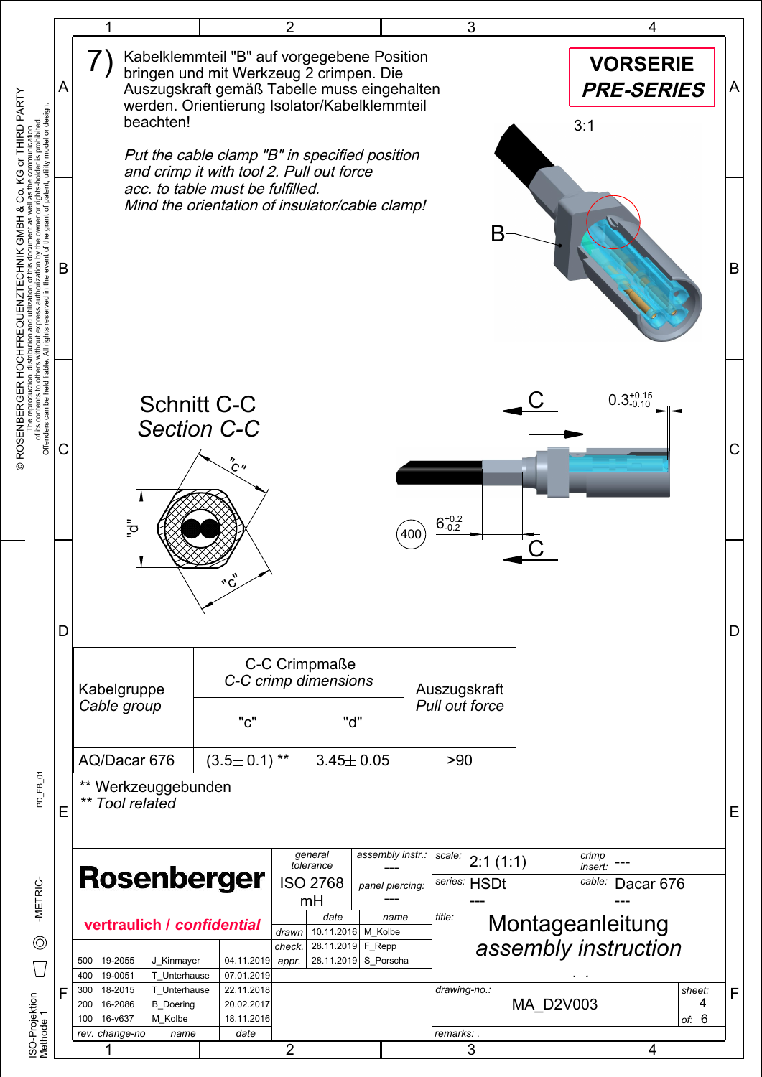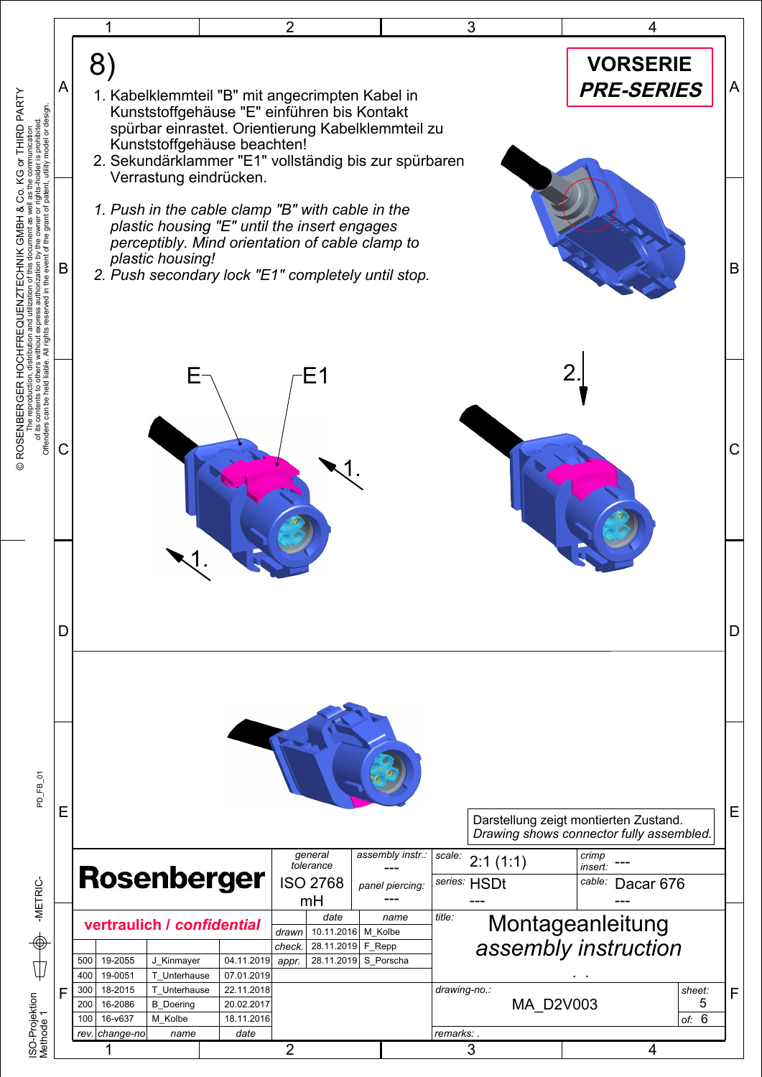